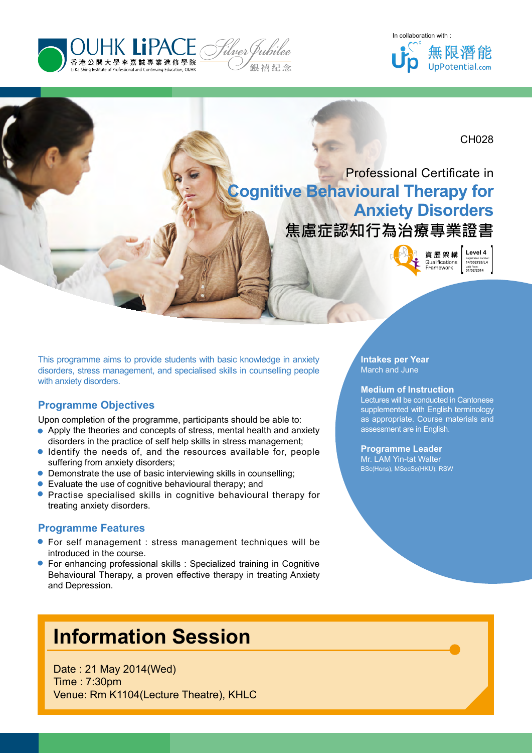





CH028

# Professional Certificate in **Cognitive Behavioural Therapy for Anxiety Disorders**

# **焦慮症認知行為治療專業證書**

Qualifications Eramework

**Level 4**<br> **Registration Number:**<br>
14/002726/L4<br>
Val (R2/2014) Registration Number: **14/002726/L4** Valid From: **01/02/2014**

This programme aims to provide students with basic knowledge in anxiety disorders, stress management, and specialised skills in counselling people with anxiety disorders.

# **Programme Objectives**

- Upon completion of the programme, participants should be able to:<br>● Apply the theories and concepts of stress, mental health and an disorders in the practice of self help skills in stress management Apply the theories and concepts of stress, mental health and anxiety disorders in the practice of self help skills in stress management;
- Identify the needs of, and the resources available for, people suffering from anxiety disorders; ∙ ∙
- Demonstrate the use of basic interviewing skills in counselling;
- 
- Evaluate the use of cognitive behavioural therapy; and<br>● Practise specialised skills in cognitive behavioural treating anxiety disorders. **•** Practise specialised skills in cognitive behavioural therapy for treating anxiety disorders. ∙

- **Programme Features**<br>● For self management<br>introduced in the course. For self management : stress management techniques will be introduced in the course.
- For enhancing professional skills : Specialized training in Cognitive Behavioural Therapy, a proven effective therapy in treating Anxiety and Depression. ∙

# **Information Session**

Date : 21 May 2014(Wed) Time : 7:30pm Venue: Rm K1104(Lecture Theatre), KHLC

### **Intakes per Year** March and June

### **Medium of Instruction**

Lectures will be conducted in Cantonese supplemented with English terminology as appropriate. Course materials and assessment are in English.

### **Programme Leader**

Mr. LAM Yin-tat Walter BSc(Hons), MSocSc(HKU), RSW